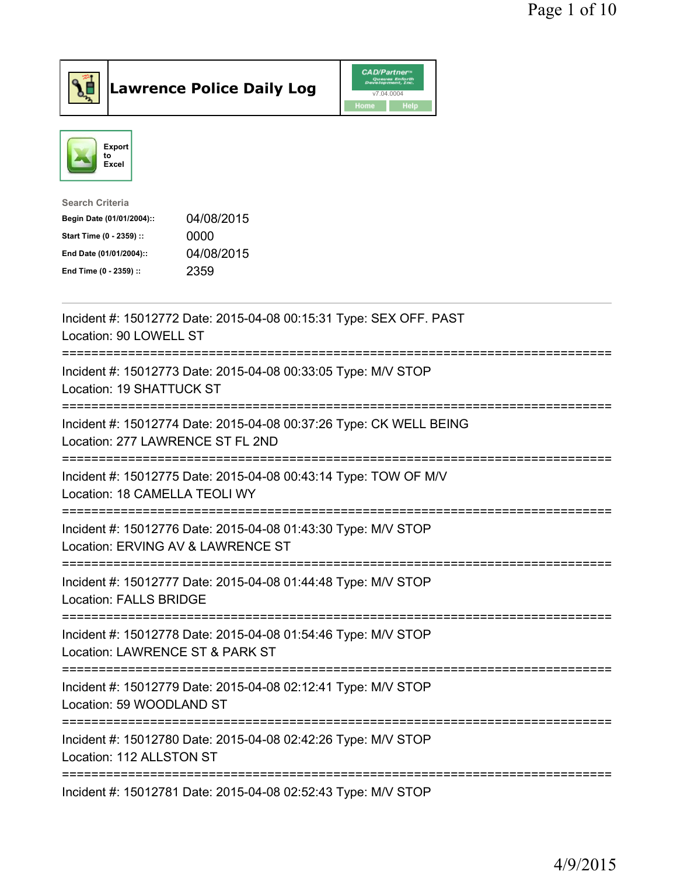



| <b>Search Criteria</b>    |            |
|---------------------------|------------|
| Begin Date (01/01/2004):: | 04/08/2015 |
| Start Time (0 - 2359) ::  | 0000       |
| End Date (01/01/2004)::   | 04/08/2015 |
| End Time (0 - 2359) ::    | 2359       |
|                           |            |

| Incident #: 15012772 Date: 2015-04-08 00:15:31 Type: SEX OFF. PAST<br>Location: 90 LOWELL ST                       |
|--------------------------------------------------------------------------------------------------------------------|
| Incident #: 15012773 Date: 2015-04-08 00:33:05 Type: M/V STOP<br>Location: 19 SHATTUCK ST                          |
| Incident #: 15012774 Date: 2015-04-08 00:37:26 Type: CK WELL BEING<br>Location: 277 LAWRENCE ST FL 2ND             |
| Incident #: 15012775 Date: 2015-04-08 00:43:14 Type: TOW OF M/V<br>Location: 18 CAMELLA TEOLI WY                   |
| Incident #: 15012776 Date: 2015-04-08 01:43:30 Type: M/V STOP<br>Location: ERVING AV & LAWRENCE ST                 |
| Incident #: 15012777 Date: 2015-04-08 01:44:48 Type: M/V STOP<br><b>Location: FALLS BRIDGE</b><br>---------------- |
| Incident #: 15012778 Date: 2015-04-08 01:54:46 Type: M/V STOP<br>Location: LAWRENCE ST & PARK ST                   |
| Incident #: 15012779 Date: 2015-04-08 02:12:41 Type: M/V STOP<br>Location: 59 WOODLAND ST                          |
| Incident #: 15012780 Date: 2015-04-08 02:42:26 Type: M/V STOP<br>Location: 112 ALLSTON ST                          |
| Incident #: 15012781 Date: 2015-04-08 02:52:43 Type: M/V STOP                                                      |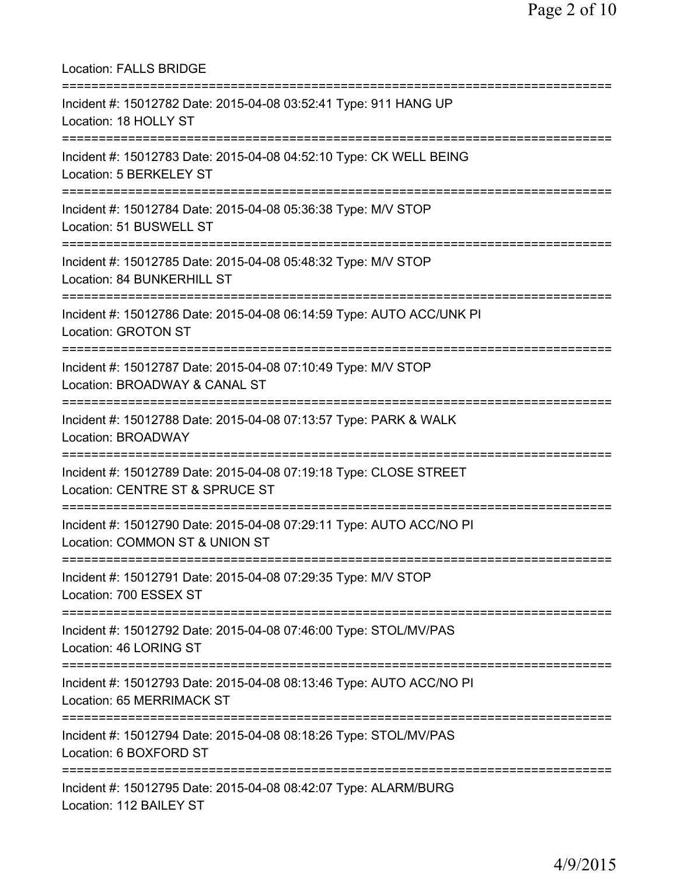Location: FALLS BRIDGE =========================================================================== Incident #: 15012782 Date: 2015-04-08 03:52:41 Type: 911 HANG UP Location: 18 HOLLY ST =========================================================================== Incident #: 15012783 Date: 2015-04-08 04:52:10 Type: CK WELL BEING Location: 5 BERKELEY ST =========================================================================== Incident #: 15012784 Date: 2015-04-08 05:36:38 Type: M/V STOP Location: 51 BUSWELL ST =========================================================================== Incident #: 15012785 Date: 2015-04-08 05:48:32 Type: M/V STOP Location: 84 BUNKERHILL ST =========================================================================== Incident #: 15012786 Date: 2015-04-08 06:14:59 Type: AUTO ACC/UNK PI Location: GROTON ST =========================================================================== Incident #: 15012787 Date: 2015-04-08 07:10:49 Type: M/V STOP Location: BROADWAY & CANAL ST =========================================================================== Incident #: 15012788 Date: 2015-04-08 07:13:57 Type: PARK & WALK Location: BROADWAY =========================================================================== Incident #: 15012789 Date: 2015-04-08 07:19:18 Type: CLOSE STREET Location: CENTRE ST & SPRUCE ST =========================================================================== Incident #: 15012790 Date: 2015-04-08 07:29:11 Type: AUTO ACC/NO PI Location: COMMON ST & UNION ST =========================================================================== Incident #: 15012791 Date: 2015-04-08 07:29:35 Type: M/V STOP Location: 700 ESSEX ST =========================================================================== Incident #: 15012792 Date: 2015-04-08 07:46:00 Type: STOL/MV/PAS Location: 46 LORING ST =========================================================================== Incident #: 15012793 Date: 2015-04-08 08:13:46 Type: AUTO ACC/NO PI Location: 65 MERRIMACK ST =========================================================================== Incident #: 15012794 Date: 2015-04-08 08:18:26 Type: STOL/MV/PAS Location: 6 BOXFORD ST =========================================================================== Incident #: 15012795 Date: 2015-04-08 08:42:07 Type: ALARM/BURG Location: 112 BAILEY ST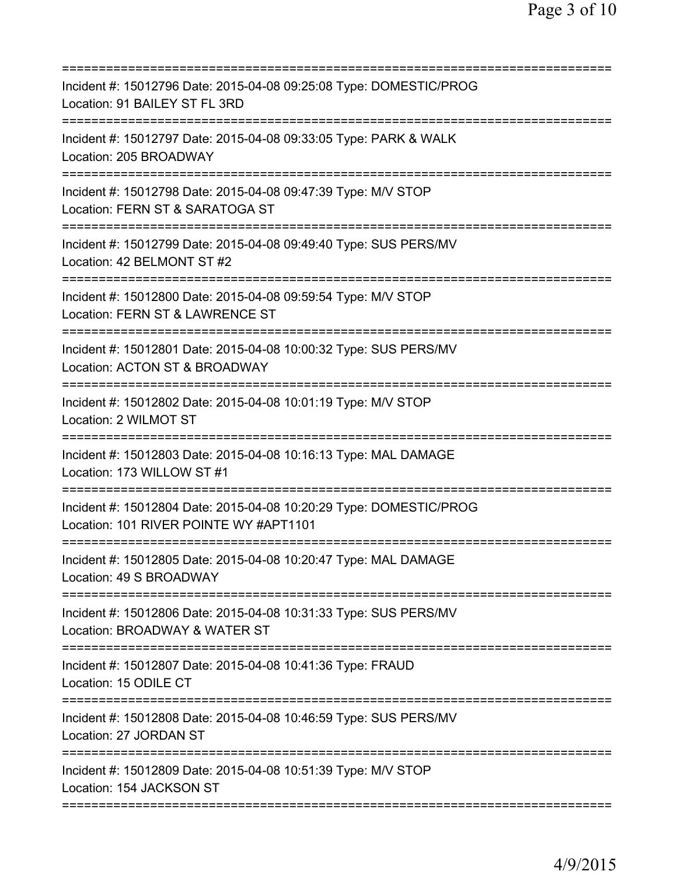| Incident #: 15012796 Date: 2015-04-08 09:25:08 Type: DOMESTIC/PROG<br>Location: 91 BAILEY ST FL 3RD                                                 |
|-----------------------------------------------------------------------------------------------------------------------------------------------------|
| Incident #: 15012797 Date: 2015-04-08 09:33:05 Type: PARK & WALK<br>Location: 205 BROADWAY                                                          |
| Incident #: 15012798 Date: 2015-04-08 09:47:39 Type: M/V STOP<br>Location: FERN ST & SARATOGA ST                                                    |
| Incident #: 15012799 Date: 2015-04-08 09:49:40 Type: SUS PERS/MV<br>Location: 42 BELMONT ST #2                                                      |
| Incident #: 15012800 Date: 2015-04-08 09:59:54 Type: M/V STOP<br>Location: FERN ST & LAWRENCE ST                                                    |
| Incident #: 15012801 Date: 2015-04-08 10:00:32 Type: SUS PERS/MV<br>Location: ACTON ST & BROADWAY                                                   |
| =========================<br>Incident #: 15012802 Date: 2015-04-08 10:01:19 Type: M/V STOP<br>Location: 2 WILMOT ST<br>:=========================== |
| Incident #: 15012803 Date: 2015-04-08 10:16:13 Type: MAL DAMAGE<br>Location: 173 WILLOW ST #1                                                       |
| Incident #: 15012804 Date: 2015-04-08 10:20:29 Type: DOMESTIC/PROG<br>Location: 101 RIVER POINTE WY #APT1101                                        |
| Incident #: 15012805 Date: 2015-04-08 10:20:47 Type: MAL DAMAGE<br>Location: 49 S BROADWAY                                                          |
| Incident #: 15012806 Date: 2015-04-08 10:31:33 Type: SUS PERS/MV<br>Location: BROADWAY & WATER ST                                                   |
| ===========================<br>Incident #: 15012807 Date: 2015-04-08 10:41:36 Type: FRAUD<br>Location: 15 ODILE CT                                  |
| Incident #: 15012808 Date: 2015-04-08 10:46:59 Type: SUS PERS/MV<br>Location: 27 JORDAN ST                                                          |
| Incident #: 15012809 Date: 2015-04-08 10:51:39 Type: M/V STOP<br>Location: 154 JACKSON ST                                                           |
|                                                                                                                                                     |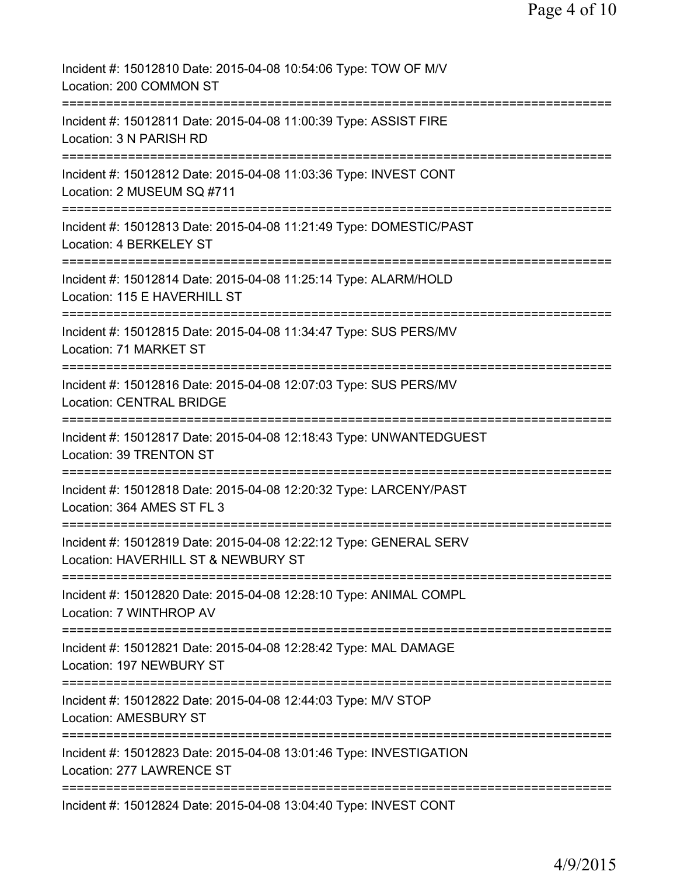| Incident #: 15012810 Date: 2015-04-08 10:54:06 Type: TOW OF M/V<br>Location: 200 COMMON ST                                                  |
|---------------------------------------------------------------------------------------------------------------------------------------------|
| Incident #: 15012811 Date: 2015-04-08 11:00:39 Type: ASSIST FIRE<br>Location: 3 N PARISH RD                                                 |
| Incident #: 15012812 Date: 2015-04-08 11:03:36 Type: INVEST CONT<br>Location: 2 MUSEUM SQ #711                                              |
| ====================<br>Incident #: 15012813 Date: 2015-04-08 11:21:49 Type: DOMESTIC/PAST<br>Location: 4 BERKELEY ST                       |
| Incident #: 15012814 Date: 2015-04-08 11:25:14 Type: ALARM/HOLD<br>Location: 115 E HAVERHILL ST                                             |
| Incident #: 15012815 Date: 2015-04-08 11:34:47 Type: SUS PERS/MV<br>Location: 71 MARKET ST                                                  |
| ====================================<br>Incident #: 15012816 Date: 2015-04-08 12:07:03 Type: SUS PERS/MV<br><b>Location: CENTRAL BRIDGE</b> |
| Incident #: 15012817 Date: 2015-04-08 12:18:43 Type: UNWANTEDGUEST<br>Location: 39 TRENTON ST                                               |
| Incident #: 15012818 Date: 2015-04-08 12:20:32 Type: LARCENY/PAST<br>Location: 364 AMES ST FL 3                                             |
| Incident #: 15012819 Date: 2015-04-08 12:22:12 Type: GENERAL SERV<br>Location: HAVERHILL ST & NEWBURY ST                                    |
| Incident #: 15012820 Date: 2015-04-08 12:28:10 Type: ANIMAL COMPL<br>Location: 7 WINTHROP AV                                                |
| =======================<br>Incident #: 15012821 Date: 2015-04-08 12:28:42 Type: MAL DAMAGE<br>Location: 197 NEWBURY ST                      |
| Incident #: 15012822 Date: 2015-04-08 12:44:03 Type: M/V STOP<br><b>Location: AMESBURY ST</b>                                               |
| Incident #: 15012823 Date: 2015-04-08 13:01:46 Type: INVESTIGATION<br>Location: 277 LAWRENCE ST                                             |
| ==================<br>Incident #: 15012824 Date: 2015-04-08 13:04:40 Type: INVEST CONT                                                      |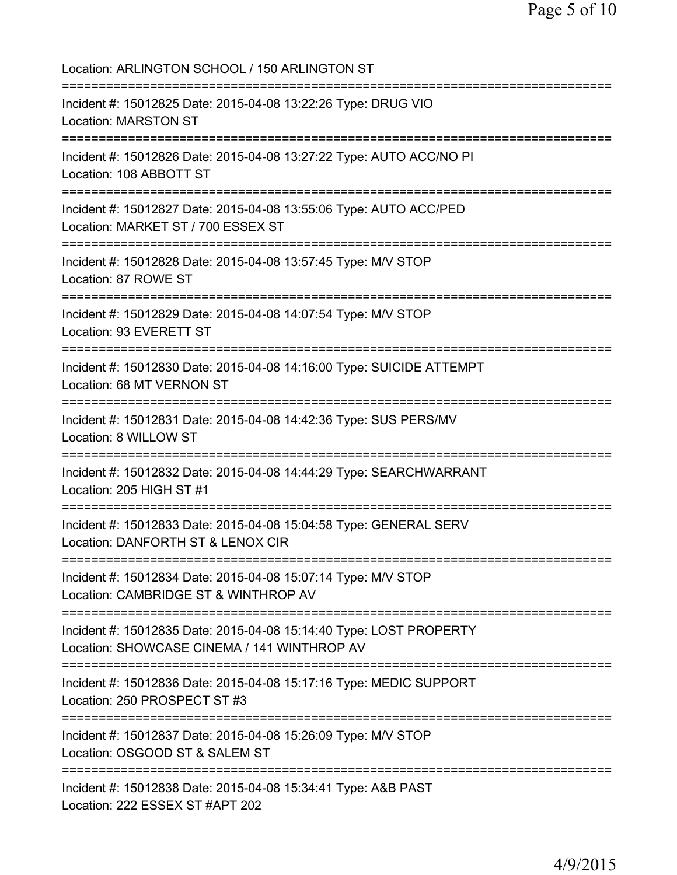Location: ARLINGTON SCHOOL / 150 ARLINGTON ST =========================================================================== Incident #: 15012825 Date: 2015-04-08 13:22:26 Type: DRUG VIO Location: MARSTON ST =========================================================================== Incident #: 15012826 Date: 2015-04-08 13:27:22 Type: AUTO ACC/NO PI Location: 108 ABBOTT ST =========================================================================== Incident #: 15012827 Date: 2015-04-08 13:55:06 Type: AUTO ACC/PED Location: MARKET ST / 700 ESSEX ST =========================================================================== Incident #: 15012828 Date: 2015-04-08 13:57:45 Type: M/V STOP Location: 87 ROWE ST =========================================================================== Incident #: 15012829 Date: 2015-04-08 14:07:54 Type: M/V STOP Location: 93 EVERETT ST =========================================================================== Incident #: 15012830 Date: 2015-04-08 14:16:00 Type: SUICIDE ATTEMPT Location: 68 MT VERNON ST =========================================================================== Incident #: 15012831 Date: 2015-04-08 14:42:36 Type: SUS PERS/MV Location: 8 WILLOW ST =========================================================================== Incident #: 15012832 Date: 2015-04-08 14:44:29 Type: SEARCHWARRANT Location: 205 HIGH ST #1 =========================================================================== Incident #: 15012833 Date: 2015-04-08 15:04:58 Type: GENERAL SERV Location: DANFORTH ST & LENOX CIR =========================================================================== Incident #: 15012834 Date: 2015-04-08 15:07:14 Type: M/V STOP Location: CAMBRIDGE ST & WINTHROP AV =========================================================================== Incident #: 15012835 Date: 2015-04-08 15:14:40 Type: LOST PROPERTY Location: SHOWCASE CINEMA / 141 WINTHROP AV =========================================================================== Incident #: 15012836 Date: 2015-04-08 15:17:16 Type: MEDIC SUPPORT Location: 250 PROSPECT ST #3 =========================================================================== Incident #: 15012837 Date: 2015-04-08 15:26:09 Type: M/V STOP Location: OSGOOD ST & SALEM ST =========================================================================== Incident #: 15012838 Date: 2015-04-08 15:34:41 Type: A&B PAST Location: 222 ESSEX ST #APT 202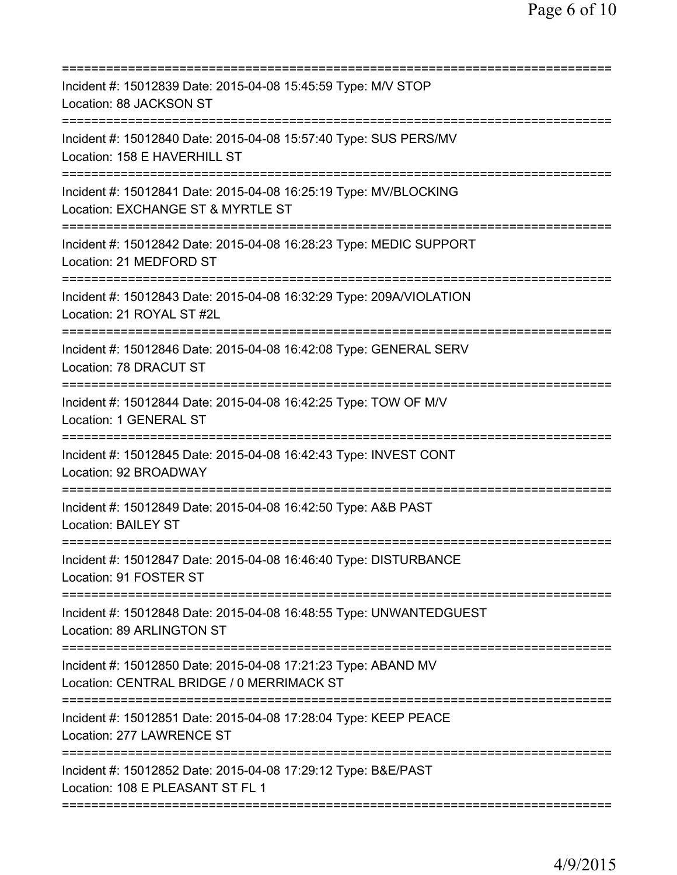| Incident #: 15012839 Date: 2015-04-08 15:45:59 Type: M/V STOP<br>Location: 88 JACKSON ST                                          |
|-----------------------------------------------------------------------------------------------------------------------------------|
| Incident #: 15012840 Date: 2015-04-08 15:57:40 Type: SUS PERS/MV<br>Location: 158 E HAVERHILL ST                                  |
| Incident #: 15012841 Date: 2015-04-08 16:25:19 Type: MV/BLOCKING<br>Location: EXCHANGE ST & MYRTLE ST<br>======================== |
| Incident #: 15012842 Date: 2015-04-08 16:28:23 Type: MEDIC SUPPORT<br>Location: 21 MEDFORD ST                                     |
| Incident #: 15012843 Date: 2015-04-08 16:32:29 Type: 209A/VIOLATION<br>Location: 21 ROYAL ST #2L                                  |
| Incident #: 15012846 Date: 2015-04-08 16:42:08 Type: GENERAL SERV<br>Location: 78 DRACUT ST                                       |
| Incident #: 15012844 Date: 2015-04-08 16:42:25 Type: TOW OF M/V<br>Location: 1 GENERAL ST                                         |
| Incident #: 15012845 Date: 2015-04-08 16:42:43 Type: INVEST CONT<br>Location: 92 BROADWAY                                         |
| Incident #: 15012849 Date: 2015-04-08 16:42:50 Type: A&B PAST<br>Location: BAILEY ST                                              |
| Incident #: 15012847 Date: 2015-04-08 16:46:40 Type: DISTURBANCE<br>Location: 91 FOSTER ST                                        |
| Incident #: 15012848 Date: 2015-04-08 16:48:55 Type: UNWANTEDGUEST<br>Location: 89 ARLINGTON ST                                   |
| Incident #: 15012850 Date: 2015-04-08 17:21:23 Type: ABAND MV<br>Location: CENTRAL BRIDGE / 0 MERRIMACK ST                        |
| Incident #: 15012851 Date: 2015-04-08 17:28:04 Type: KEEP PEACE<br>Location: 277 LAWRENCE ST                                      |
| Incident #: 15012852 Date: 2015-04-08 17:29:12 Type: B&E/PAST<br>Location: 108 E PLEASANT ST FL 1                                 |
|                                                                                                                                   |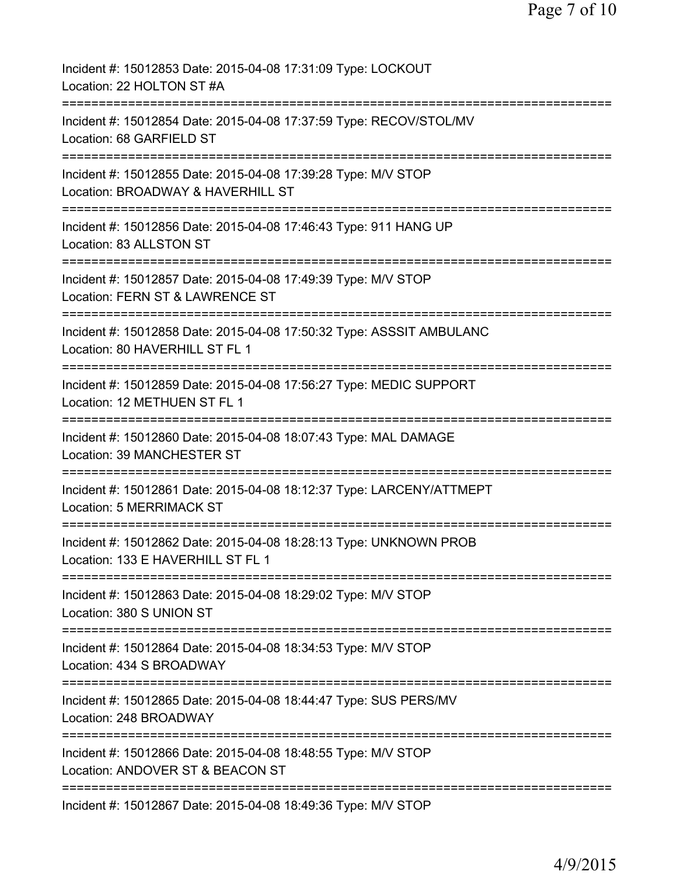| Incident #: 15012853 Date: 2015-04-08 17:31:09 Type: LOCKOUT<br>Location: 22 HOLTON ST #A                                           |
|-------------------------------------------------------------------------------------------------------------------------------------|
| Incident #: 15012854 Date: 2015-04-08 17:37:59 Type: RECOV/STOL/MV<br>Location: 68 GARFIELD ST                                      |
| Incident #: 15012855 Date: 2015-04-08 17:39:28 Type: M/V STOP<br>Location: BROADWAY & HAVERHILL ST                                  |
| Incident #: 15012856 Date: 2015-04-08 17:46:43 Type: 911 HANG UP<br>Location: 83 ALLSTON ST                                         |
| ===============================<br>Incident #: 15012857 Date: 2015-04-08 17:49:39 Type: M/V STOP<br>Location: FERN ST & LAWRENCE ST |
| ========================<br>Incident #: 15012858 Date: 2015-04-08 17:50:32 Type: ASSSIT AMBULANC<br>Location: 80 HAVERHILL ST FL 1  |
| Incident #: 15012859 Date: 2015-04-08 17:56:27 Type: MEDIC SUPPORT<br>Location: 12 METHUEN ST FL 1                                  |
| Incident #: 15012860 Date: 2015-04-08 18:07:43 Type: MAL DAMAGE<br>Location: 39 MANCHESTER ST                                       |
| Incident #: 15012861 Date: 2015-04-08 18:12:37 Type: LARCENY/ATTMEPT<br>Location: 5 MERRIMACK ST                                    |
| Incident #: 15012862 Date: 2015-04-08 18:28:13 Type: UNKNOWN PROB<br>Location: 133 E HAVERHILL ST FL 1                              |
| ==========================<br>Incident #: 15012863 Date: 2015-04-08 18:29:02 Type: M/V STOP<br>Location: 380 S UNION ST             |
| Incident #: 15012864 Date: 2015-04-08 18:34:53 Type: M/V STOP<br>Location: 434 S BROADWAY                                           |
| Incident #: 15012865 Date: 2015-04-08 18:44:47 Type: SUS PERS/MV<br>Location: 248 BROADWAY                                          |
| Incident #: 15012866 Date: 2015-04-08 18:48:55 Type: M/V STOP<br>Location: ANDOVER ST & BEACON ST                                   |
| =============================<br>Incident #: 15012867 Date: 2015-04-08 18:49:36 Type: M/V STOP                                      |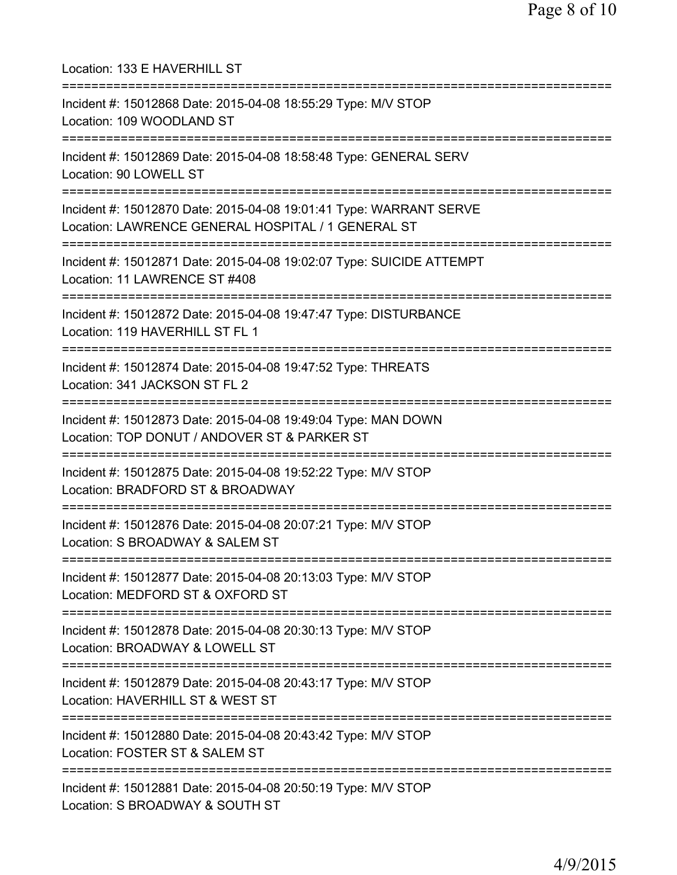| Location: 133 E HAVERHILL ST<br>===============================                                                                          |
|------------------------------------------------------------------------------------------------------------------------------------------|
| Incident #: 15012868 Date: 2015-04-08 18:55:29 Type: M/V STOP<br>Location: 109 WOODLAND ST<br>=====================================      |
| Incident #: 15012869 Date: 2015-04-08 18:58:48 Type: GENERAL SERV<br>Location: 90 LOWELL ST<br>;===============================          |
| Incident #: 15012870 Date: 2015-04-08 19:01:41 Type: WARRANT SERVE<br>Location: LAWRENCE GENERAL HOSPITAL / 1 GENERAL ST                 |
| Incident #: 15012871 Date: 2015-04-08 19:02:07 Type: SUICIDE ATTEMPT<br>Location: 11 LAWRENCE ST #408                                    |
| Incident #: 15012872 Date: 2015-04-08 19:47:47 Type: DISTURBANCE<br>Location: 119 HAVERHILL ST FL 1                                      |
| Incident #: 15012874 Date: 2015-04-08 19:47:52 Type: THREATS<br>Location: 341 JACKSON ST FL 2                                            |
| Incident #: 15012873 Date: 2015-04-08 19:49:04 Type: MAN DOWN<br>Location: TOP DONUT / ANDOVER ST & PARKER ST                            |
| Incident #: 15012875 Date: 2015-04-08 19:52:22 Type: M/V STOP<br>Location: BRADFORD ST & BROADWAY                                        |
| Incident #: 15012876 Date: 2015-04-08 20:07:21 Type: M/V STOP<br>Location: S BROADWAY & SALEM ST<br>==================================== |
| Incident #: 15012877 Date: 2015-04-08 20:13:03 Type: M/V STOP<br>Location: MEDFORD ST & OXFORD ST                                        |
| Incident #: 15012878 Date: 2015-04-08 20:30:13 Type: M/V STOP<br>Location: BROADWAY & LOWELL ST                                          |
| Incident #: 15012879 Date: 2015-04-08 20:43:17 Type: M/V STOP<br>Location: HAVERHILL ST & WEST ST                                        |
| Incident #: 15012880 Date: 2015-04-08 20:43:42 Type: M/V STOP<br>Location: FOSTER ST & SALEM ST                                          |
| Incident #: 15012881 Date: 2015-04-08 20:50:19 Type: M/V STOP<br>Location: S BROADWAY & SOUTH ST                                         |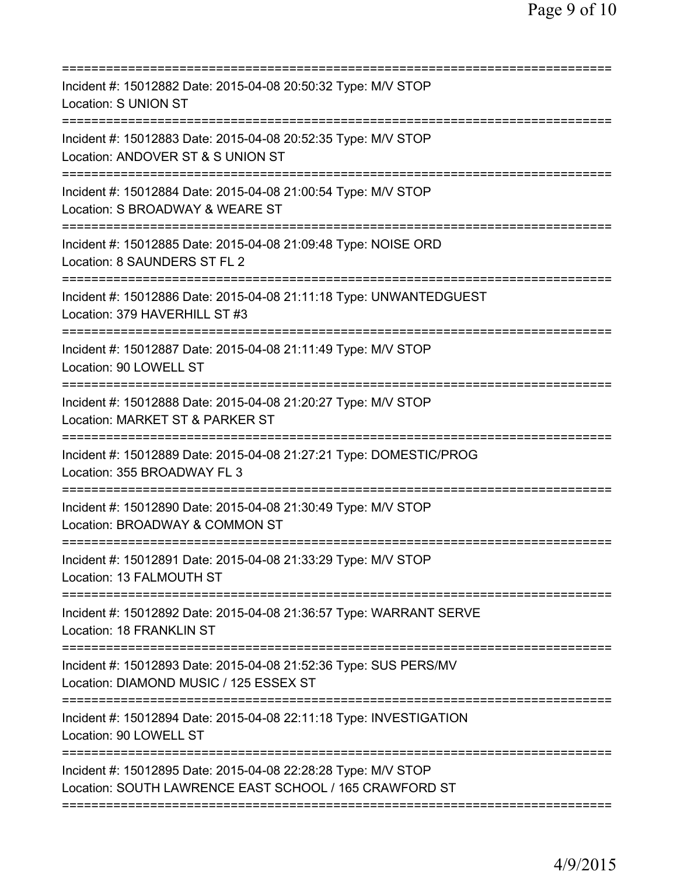| Incident #: 15012882 Date: 2015-04-08 20:50:32 Type: M/V STOP<br>Location: S UNION ST                                       |
|-----------------------------------------------------------------------------------------------------------------------------|
| Incident #: 15012883 Date: 2015-04-08 20:52:35 Type: M/V STOP<br>Location: ANDOVER ST & S UNION ST                          |
| Incident #: 15012884 Date: 2015-04-08 21:00:54 Type: M/V STOP<br>Location: S BROADWAY & WEARE ST<br>======================= |
| Incident #: 15012885 Date: 2015-04-08 21:09:48 Type: NOISE ORD<br>Location: 8 SAUNDERS ST FL 2                              |
| Incident #: 15012886 Date: 2015-04-08 21:11:18 Type: UNWANTEDGUEST<br>Location: 379 HAVERHILL ST #3                         |
| Incident #: 15012887 Date: 2015-04-08 21:11:49 Type: M/V STOP<br>Location: 90 LOWELL ST                                     |
| Incident #: 15012888 Date: 2015-04-08 21:20:27 Type: M/V STOP<br>Location: MARKET ST & PARKER ST                            |
| Incident #: 15012889 Date: 2015-04-08 21:27:21 Type: DOMESTIC/PROG<br>Location: 355 BROADWAY FL 3                           |
| Incident #: 15012890 Date: 2015-04-08 21:30:49 Type: M/V STOP<br>Location: BROADWAY & COMMON ST                             |
| Incident #: 15012891 Date: 2015-04-08 21:33:29 Type: M/V STOP<br>Location: 13 FALMOUTH ST                                   |
| Incident #: 15012892 Date: 2015-04-08 21:36:57 Type: WARRANT SERVE<br>Location: 18 FRANKLIN ST                              |
| Incident #: 15012893 Date: 2015-04-08 21:52:36 Type: SUS PERS/MV<br>Location: DIAMOND MUSIC / 125 ESSEX ST                  |
| Incident #: 15012894 Date: 2015-04-08 22:11:18 Type: INVESTIGATION<br>Location: 90 LOWELL ST                                |
| Incident #: 15012895 Date: 2015-04-08 22:28:28 Type: M/V STOP<br>Location: SOUTH LAWRENCE EAST SCHOOL / 165 CRAWFORD ST     |
|                                                                                                                             |